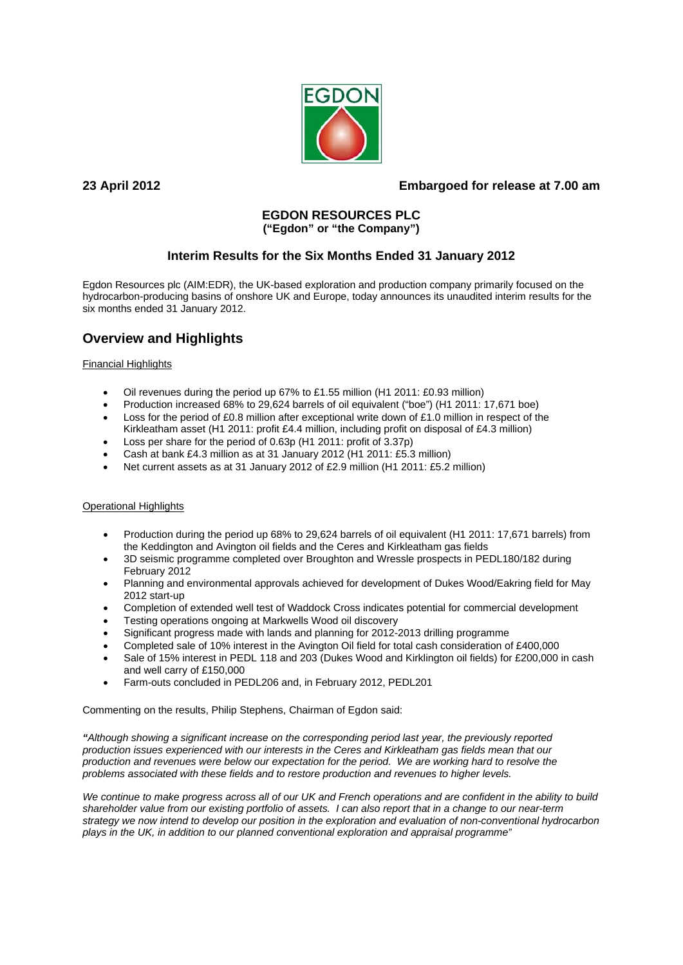

# **23 April 2012 Embargoed for release at 7.00 am**

# **EGDON RESOURCES PLC**

# **("Egdon" or "the Company")**

# **Interim Results for the Six Months Ended 31 January 2012**

Egdon Resources plc (AIM:EDR), the UK-based exploration and production company primarily focused on the hydrocarbon-producing basins of onshore UK and Europe, today announces its unaudited interim results for the six months ended 31 January 2012.

# **Overview and Highlights**

### Financial Highlights

- Oil revenues during the period up 67% to £1.55 million (H1 2011: £0.93 million)
- Production increased 68% to 29,624 barrels of oil equivalent ("boe") (H1 2011: 17,671 boe)
- Loss for the period of £0.8 million after exceptional write down of £1.0 million in respect of the Kirkleatham asset (H1 2011: profit £4.4 million, including profit on disposal of £4.3 million)
- Loss per share for the period of 0.63p (H1 2011: profit of 3.37p)
- Cash at bank £4.3 million as at 31 January 2012 (H1 2011: £5.3 million)
- Net current assets as at 31 January 2012 of £2.9 million (H1 2011: £5.2 million)

### Operational Highlights

- Production during the period up 68% to 29,624 barrels of oil equivalent (H1 2011: 17,671 barrels) from the Keddington and Avington oil fields and the Ceres and Kirkleatham gas fields
- 3D seismic programme completed over Broughton and Wressle prospects in PEDL180/182 during February 2012
- Planning and environmental approvals achieved for development of Dukes Wood/Eakring field for May 2012 start-up
- Completion of extended well test of Waddock Cross indicates potential for commercial development
- Testing operations ongoing at Markwells Wood oil discovery
- Significant progress made with lands and planning for 2012-2013 drilling programme
- Completed sale of 10% interest in the Avington Oil field for total cash consideration of £400,000
- Sale of 15% interest in PEDL 118 and 203 (Dukes Wood and Kirklington oil fields) for £200,000 in cash and well carry of £150,000
- Farm-outs concluded in PEDL206 and, in February 2012, PEDL201

Commenting on the results, Philip Stephens, Chairman of Egdon said:

*"Although showing a significant increase on the corresponding period last year, the previously reported production issues experienced with our interests in the Ceres and Kirkleatham gas fields mean that our production and revenues were below our expectation for the period. We are working hard to resolve the problems associated with these fields and to restore production and revenues to higher levels.* 

We continue to make progress across all of our UK and French operations and are confident in the ability to build *shareholder value from our existing portfolio of assets. I can also report that in a change to our near-term strategy we now intend to develop our position in the exploration and evaluation of non-conventional hydrocarbon plays in the UK, in addition to our planned conventional exploration and appraisal programme"*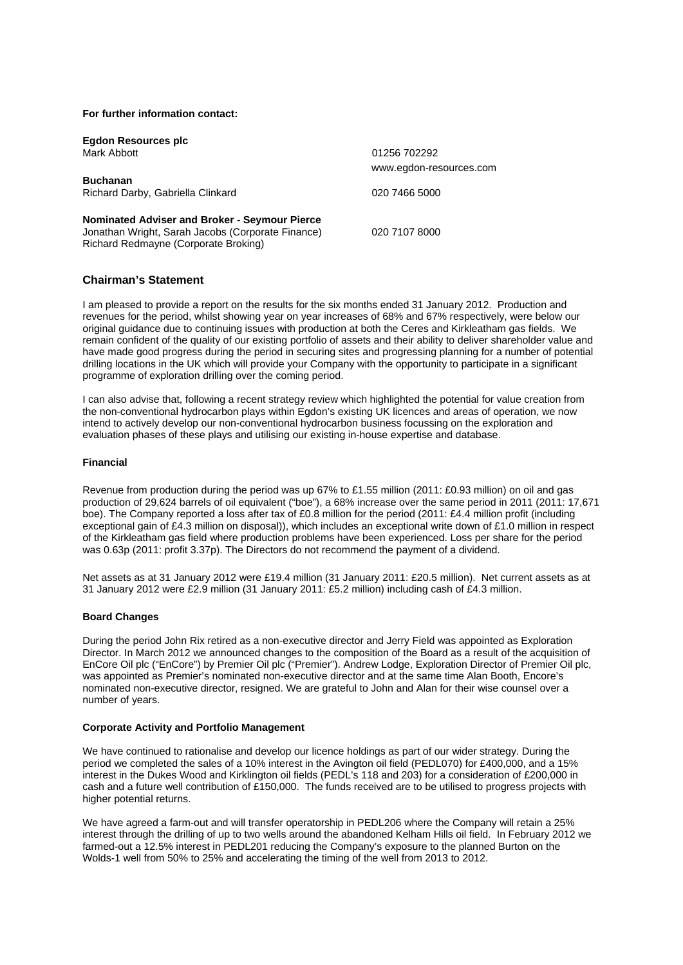#### **For further information contact:**

**Egdon Resources plc** Mark Abbott 01256 702292

**Buchanan**  Richard Darby, Gabriella Clinkard 020 7466 5000

**Nominated Adviser and Broker - Seymour Pierce** Jonathan Wright, Sarah Jacobs (Corporate Finance) 020 7107 8000 Richard Redmayne (Corporate Broking)

www.egdon-resources.com

### **Chairman's Statement**

I am pleased to provide a report on the results for the six months ended 31 January 2012. Production and revenues for the period, whilst showing year on year increases of 68% and 67% respectively, were below our original guidance due to continuing issues with production at both the Ceres and Kirkleatham gas fields. We remain confident of the quality of our existing portfolio of assets and their ability to deliver shareholder value and have made good progress during the period in securing sites and progressing planning for a number of potential drilling locations in the UK which will provide your Company with the opportunity to participate in a significant programme of exploration drilling over the coming period.

I can also advise that, following a recent strategy review which highlighted the potential for value creation from the non-conventional hydrocarbon plays within Egdon's existing UK licences and areas of operation, we now intend to actively develop our non-conventional hydrocarbon business focussing on the exploration and evaluation phases of these plays and utilising our existing in-house expertise and database.

#### **Financial**

Revenue from production during the period was up 67% to £1.55 million (2011: £0.93 million) on oil and gas production of 29,624 barrels of oil equivalent ("boe"), a 68% increase over the same period in 2011 (2011: 17,671 boe). The Company reported a loss after tax of £0.8 million for the period (2011: £4.4 million profit (including exceptional gain of £4.3 million on disposal)), which includes an exceptional write down of £1.0 million in respect of the Kirkleatham gas field where production problems have been experienced. Loss per share for the period was 0.63p (2011: profit 3.37p). The Directors do not recommend the payment of a dividend.

Net assets as at 31 January 2012 were £19.4 million (31 January 2011: £20.5 million). Net current assets as at 31 January 2012 were £2.9 million (31 January 2011: £5.2 million) including cash of £4.3 million.

#### **Board Changes**

During the period John Rix retired as a non-executive director and Jerry Field was appointed as Exploration Director. In March 2012 we announced changes to the composition of the Board as a result of the acquisition of EnCore Oil plc ("EnCore") by Premier Oil plc ("Premier"). Andrew Lodge, Exploration Director of Premier Oil plc, was appointed as Premier's nominated non-executive director and at the same time Alan Booth, Encore's nominated non-executive director, resigned. We are grateful to John and Alan for their wise counsel over a number of years.

#### **Corporate Activity and Portfolio Management**

We have continued to rationalise and develop our licence holdings as part of our wider strategy. During the period we completed the sales of a 10% interest in the Avington oil field (PEDL070) for £400,000, and a 15% interest in the Dukes Wood and Kirklington oil fields (PEDL's 118 and 203) for a consideration of £200,000 in cash and a future well contribution of £150,000. The funds received are to be utilised to progress projects with higher potential returns.

We have agreed a farm-out and will transfer operatorship in PEDL206 where the Company will retain a 25% interest through the drilling of up to two wells around the abandoned Kelham Hills oil field. In February 2012 we farmed-out a 12.5% interest in PEDL201 reducing the Company's exposure to the planned Burton on the Wolds-1 well from 50% to 25% and accelerating the timing of the well from 2013 to 2012.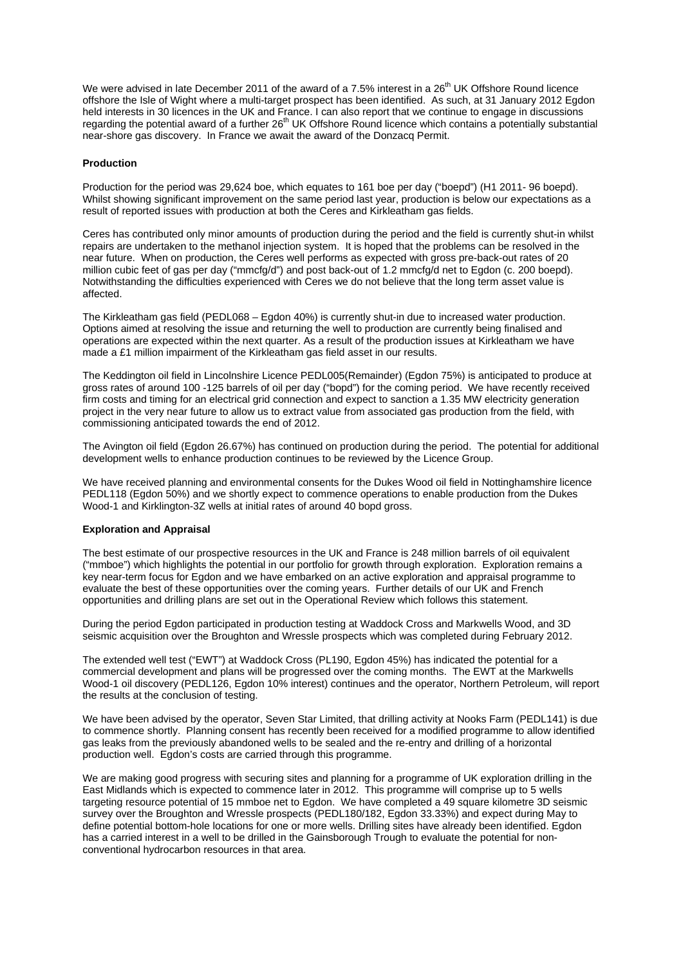We were advised in late December 2011 of the award of a 7.5% interest in a  $26<sup>th</sup>$  UK Offshore Round licence offshore the Isle of Wight where a multi-target prospect has been identified. As such, at 31 January 2012 Egdon held interests in 30 licences in the UK and France. I can also report that we continue to engage in discussions regarding the potential award of a further  $26<sup>th</sup>$  UK Offshore Round licence which contains a potentially substantial near-shore gas discovery. In France we await the award of the Donzacq Permit.

#### **Production**

Production for the period was 29,624 boe, which equates to 161 boe per day ("boepd") (H1 2011- 96 boepd). Whilst showing significant improvement on the same period last year, production is below our expectations as a result of reported issues with production at both the Ceres and Kirkleatham gas fields.

Ceres has contributed only minor amounts of production during the period and the field is currently shut-in whilst repairs are undertaken to the methanol injection system. It is hoped that the problems can be resolved in the near future. When on production, the Ceres well performs as expected with gross pre-back-out rates of 20 million cubic feet of gas per day ("mmcfg/d") and post back-out of 1.2 mmcfg/d net to Egdon (c. 200 boepd). Notwithstanding the difficulties experienced with Ceres we do not believe that the long term asset value is affected.

The Kirkleatham gas field (PEDL068 – Egdon 40%) is currently shut-in due to increased water production. Options aimed at resolving the issue and returning the well to production are currently being finalised and operations are expected within the next quarter. As a result of the production issues at Kirkleatham we have made a £1 million impairment of the Kirkleatham gas field asset in our results.

The Keddington oil field in Lincolnshire Licence PEDL005(Remainder) (Egdon 75%) is anticipated to produce at gross rates of around 100 -125 barrels of oil per day ("bopd") for the coming period. We have recently received firm costs and timing for an electrical grid connection and expect to sanction a 1.35 MW electricity generation project in the very near future to allow us to extract value from associated gas production from the field, with commissioning anticipated towards the end of 2012.

The Avington oil field (Egdon 26.67%) has continued on production during the period. The potential for additional development wells to enhance production continues to be reviewed by the Licence Group.

We have received planning and environmental consents for the Dukes Wood oil field in Nottinghamshire licence PEDL118 (Egdon 50%) and we shortly expect to commence operations to enable production from the Dukes Wood-1 and Kirklington-3Z wells at initial rates of around 40 bopd gross.

#### **Exploration and Appraisal**

The best estimate of our prospective resources in the UK and France is 248 million barrels of oil equivalent ("mmboe") which highlights the potential in our portfolio for growth through exploration. Exploration remains a key near-term focus for Egdon and we have embarked on an active exploration and appraisal programme to evaluate the best of these opportunities over the coming years. Further details of our UK and French opportunities and drilling plans are set out in the Operational Review which follows this statement.

During the period Egdon participated in production testing at Waddock Cross and Markwells Wood, and 3D seismic acquisition over the Broughton and Wressle prospects which was completed during February 2012.

The extended well test ("EWT") at Waddock Cross (PL190, Egdon 45%) has indicated the potential for a commercial development and plans will be progressed over the coming months. The EWT at the Markwells Wood-1 oil discovery (PEDL126, Egdon 10% interest) continues and the operator, Northern Petroleum, will report the results at the conclusion of testing.

We have been advised by the operator, Seven Star Limited, that drilling activity at Nooks Farm (PEDL141) is due to commence shortly. Planning consent has recently been received for a modified programme to allow identified gas leaks from the previously abandoned wells to be sealed and the re-entry and drilling of a horizontal production well. Egdon's costs are carried through this programme.

We are making good progress with securing sites and planning for a programme of UK exploration drilling in the East Midlands which is expected to commence later in 2012. This programme will comprise up to 5 wells targeting resource potential of 15 mmboe net to Egdon. We have completed a 49 square kilometre 3D seismic survey over the Broughton and Wressle prospects (PEDL180/182, Egdon 33.33%) and expect during May to define potential bottom-hole locations for one or more wells. Drilling sites have already been identified. Egdon has a carried interest in a well to be drilled in the Gainsborough Trough to evaluate the potential for nonconventional hydrocarbon resources in that area.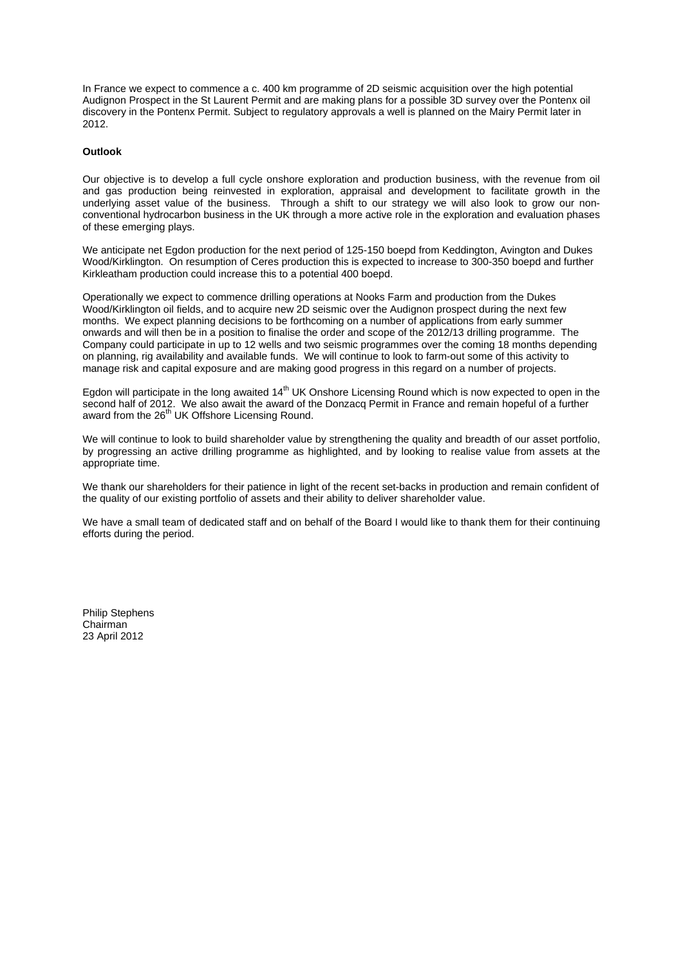In France we expect to commence a c. 400 km programme of 2D seismic acquisition over the high potential Audignon Prospect in the St Laurent Permit and are making plans for a possible 3D survey over the Pontenx oil discovery in the Pontenx Permit. Subject to regulatory approvals a well is planned on the Mairy Permit later in 2012.

#### **Outlook**

Our objective is to develop a full cycle onshore exploration and production business, with the revenue from oil and gas production being reinvested in exploration, appraisal and development to facilitate growth in the underlying asset value of the business. Through a shift to our strategy we will also look to grow our nonconventional hydrocarbon business in the UK through a more active role in the exploration and evaluation phases of these emerging plays.

We anticipate net Egdon production for the next period of 125-150 boepd from Keddington, Avington and Dukes Wood/Kirklington. On resumption of Ceres production this is expected to increase to 300-350 boepd and further Kirkleatham production could increase this to a potential 400 boepd.

Operationally we expect to commence drilling operations at Nooks Farm and production from the Dukes Wood/Kirklington oil fields, and to acquire new 2D seismic over the Audignon prospect during the next few months. We expect planning decisions to be forthcoming on a number of applications from early summer onwards and will then be in a position to finalise the order and scope of the 2012/13 drilling programme. The Company could participate in up to 12 wells and two seismic programmes over the coming 18 months depending on planning, rig availability and available funds. We will continue to look to farm-out some of this activity to manage risk and capital exposure and are making good progress in this regard on a number of projects.

Egdon will participate in the long awaited 14<sup>th</sup> UK Onshore Licensing Round which is now expected to open in the second half of 2012. We also await the award of the Donzacq Permit in France and remain hopeful of a further award from the 26<sup>th</sup> UK Offshore Licensing Round.

We will continue to look to build shareholder value by strengthening the quality and breadth of our asset portfolio, by progressing an active drilling programme as highlighted, and by looking to realise value from assets at the appropriate time.

We thank our shareholders for their patience in light of the recent set-backs in production and remain confident of the quality of our existing portfolio of assets and their ability to deliver shareholder value.

We have a small team of dedicated staff and on behalf of the Board I would like to thank them for their continuing efforts during the period.

Philip Stephens Chairman 23 April 2012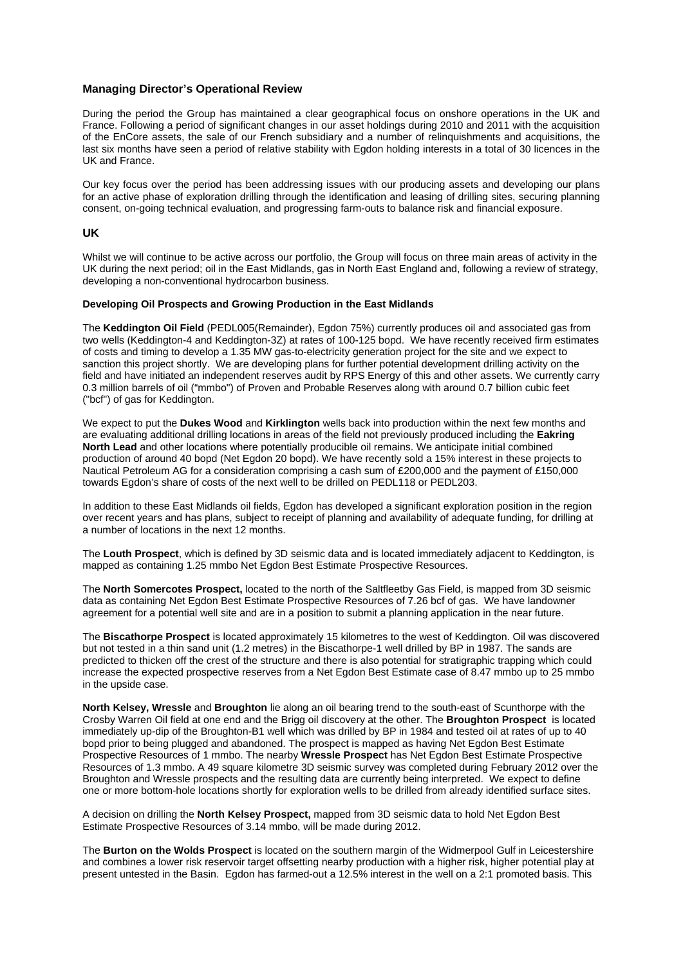### **Managing Director's Operational Review**

During the period the Group has maintained a clear geographical focus on onshore operations in the UK and France. Following a period of significant changes in our asset holdings during 2010 and 2011 with the acquisition of the EnCore assets, the sale of our French subsidiary and a number of relinquishments and acquisitions, the last six months have seen a period of relative stability with Egdon holding interests in a total of 30 licences in the UK and France.

Our key focus over the period has been addressing issues with our producing assets and developing our plans for an active phase of exploration drilling through the identification and leasing of drilling sites, securing planning consent, on-going technical evaluation, and progressing farm-outs to balance risk and financial exposure.

#### **UK**

Whilst we will continue to be active across our portfolio, the Group will focus on three main areas of activity in the UK during the next period; oil in the East Midlands, gas in North East England and, following a review of strategy, developing a non-conventional hydrocarbon business.

#### **Developing Oil Prospects and Growing Production in the East Midlands**

The **Keddington Oil Field** (PEDL005(Remainder), Egdon 75%) currently produces oil and associated gas from two wells (Keddington-4 and Keddington-3Z) at rates of 100-125 bopd. We have recently received firm estimates of costs and timing to develop a 1.35 MW gas-to-electricity generation project for the site and we expect to sanction this project shortly. We are developing plans for further potential development drilling activity on the field and have initiated an independent reserves audit by RPS Energy of this and other assets. We currently carry 0.3 million barrels of oil ("mmbo") of Proven and Probable Reserves along with around 0.7 billion cubic feet ("bcf") of gas for Keddington.

We expect to put the **Dukes Wood** and **Kirklington** wells back into production within the next few months and are evaluating additional drilling locations in areas of the field not previously produced including the **Eakring North Lead** and other locations where potentially producible oil remains. We anticipate initial combined production of around 40 bopd (Net Egdon 20 bopd). We have recently sold a 15% interest in these projects to Nautical Petroleum AG for a consideration comprising a cash sum of £200,000 and the payment of £150,000 towards Egdon's share of costs of the next well to be drilled on PEDL118 or PEDL203.

In addition to these East Midlands oil fields, Egdon has developed a significant exploration position in the region over recent years and has plans, subject to receipt of planning and availability of adequate funding, for drilling at a number of locations in the next 12 months.

The **Louth Prospect**, which is defined by 3D seismic data and is located immediately adjacent to Keddington, is mapped as containing 1.25 mmbo Net Egdon Best Estimate Prospective Resources.

The **North Somercotes Prospect,** located to the north of the Saltfleetby Gas Field, is mapped from 3D seismic data as containing Net Egdon Best Estimate Prospective Resources of 7.26 bcf of gas. We have landowner agreement for a potential well site and are in a position to submit a planning application in the near future.

The **Biscathorpe Prospect** is located approximately 15 kilometres to the west of Keddington. Oil was discovered but not tested in a thin sand unit (1.2 metres) in the Biscathorpe-1 well drilled by BP in 1987. The sands are predicted to thicken off the crest of the structure and there is also potential for stratigraphic trapping which could increase the expected prospective reserves from a Net Egdon Best Estimate case of 8.47 mmbo up to 25 mmbo in the upside case.

**North Kelsey, Wressle** and **Broughton** lie along an oil bearing trend to the south-east of Scunthorpe with the Crosby Warren Oil field at one end and the Brigg oil discovery at the other. The **Broughton Prospect** is located immediately up-dip of the Broughton-B1 well which was drilled by BP in 1984 and tested oil at rates of up to 40 bopd prior to being plugged and abandoned. The prospect is mapped as having Net Egdon Best Estimate Prospective Resources of 1 mmbo. The nearby **Wressle Prospect** has Net Egdon Best Estimate Prospective Resources of 1.3 mmbo. A 49 square kilometre 3D seismic survey was completed during February 2012 over the Broughton and Wressle prospects and the resulting data are currently being interpreted. We expect to define one or more bottom-hole locations shortly for exploration wells to be drilled from already identified surface sites.

A decision on drilling the **North Kelsey Prospect,** mapped from 3D seismic data to hold Net Egdon Best Estimate Prospective Resources of 3.14 mmbo, will be made during 2012.

The **Burton on the Wolds Prospect** is located on the southern margin of the Widmerpool Gulf in Leicestershire and combines a lower risk reservoir target offsetting nearby production with a higher risk, higher potential play at present untested in the Basin. Egdon has farmed-out a 12.5% interest in the well on a 2:1 promoted basis. This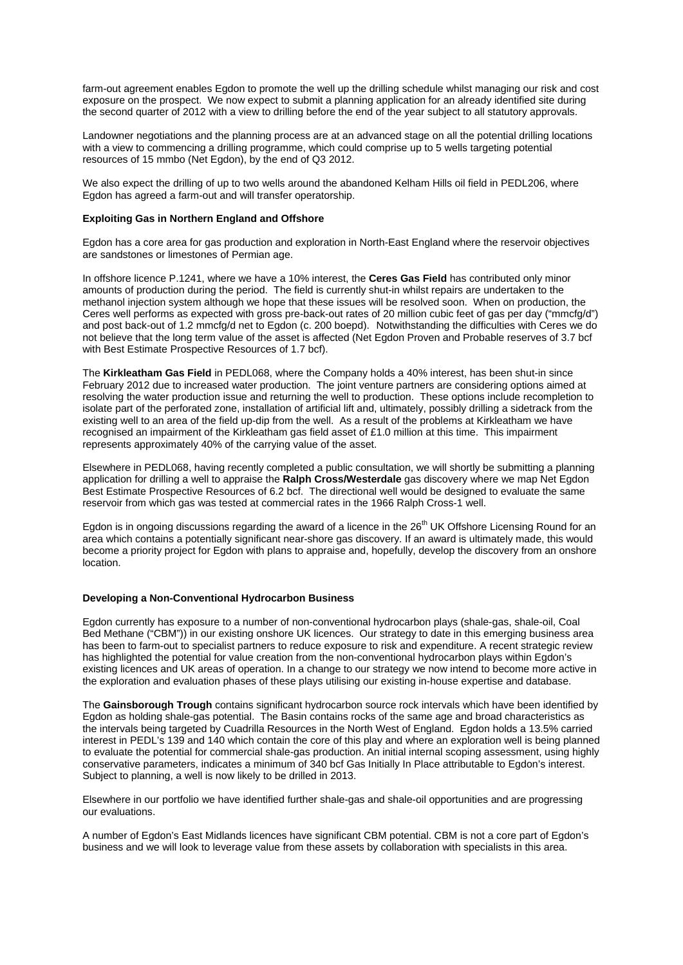farm-out agreement enables Egdon to promote the well up the drilling schedule whilst managing our risk and cost exposure on the prospect. We now expect to submit a planning application for an already identified site during the second quarter of 2012 with a view to drilling before the end of the year subject to all statutory approvals.

Landowner negotiations and the planning process are at an advanced stage on all the potential drilling locations with a view to commencing a drilling programme, which could comprise up to 5 wells targeting potential resources of 15 mmbo (Net Egdon), by the end of Q3 2012.

We also expect the drilling of up to two wells around the abandoned Kelham Hills oil field in PEDL206, where Egdon has agreed a farm-out and will transfer operatorship.

#### **Exploiting Gas in Northern England and Offshore**

Egdon has a core area for gas production and exploration in North-East England where the reservoir objectives are sandstones or limestones of Permian age.

In offshore licence P.1241, where we have a 10% interest, the **Ceres Gas Field** has contributed only minor amounts of production during the period. The field is currently shut-in whilst repairs are undertaken to the methanol injection system although we hope that these issues will be resolved soon. When on production, the Ceres well performs as expected with gross pre-back-out rates of 20 million cubic feet of gas per day ("mmcfg/d") and post back-out of 1.2 mmcfg/d net to Egdon (c. 200 boepd). Notwithstanding the difficulties with Ceres we do not believe that the long term value of the asset is affected (Net Egdon Proven and Probable reserves of 3.7 bcf with Best Estimate Prospective Resources of 1.7 bcf).

The **Kirkleatham Gas Field** in PEDL068, where the Company holds a 40% interest, has been shut-in since February 2012 due to increased water production. The joint venture partners are considering options aimed at resolving the water production issue and returning the well to production. These options include recompletion to isolate part of the perforated zone, installation of artificial lift and, ultimately, possibly drilling a sidetrack from the existing well to an area of the field up-dip from the well. As a result of the problems at Kirkleatham we have recognised an impairment of the Kirkleatham gas field asset of £1.0 million at this time. This impairment represents approximately 40% of the carrying value of the asset.

Elsewhere in PEDL068, having recently completed a public consultation, we will shortly be submitting a planning application for drilling a well to appraise the **Ralph Cross/Westerdale** gas discovery where we map Net Egdon Best Estimate Prospective Resources of 6.2 bcf. The directional well would be designed to evaluate the same reservoir from which gas was tested at commercial rates in the 1966 Ralph Cross-1 well.

Egdon is in ongoing discussions regarding the award of a licence in the 26<sup>th</sup> UK Offshore Licensing Round for an area which contains a potentially significant near-shore gas discovery. If an award is ultimately made, this would become a priority project for Egdon with plans to appraise and, hopefully, develop the discovery from an onshore location.

#### **Developing a Non-Conventional Hydrocarbon Business**

Egdon currently has exposure to a number of non-conventional hydrocarbon plays (shale-gas, shale-oil, Coal Bed Methane ("CBM")) in our existing onshore UK licences. Our strategy to date in this emerging business area has been to farm-out to specialist partners to reduce exposure to risk and expenditure. A recent strategic review has highlighted the potential for value creation from the non-conventional hydrocarbon plays within Egdon's existing licences and UK areas of operation. In a change to our strategy we now intend to become more active in the exploration and evaluation phases of these plays utilising our existing in-house expertise and database.

The **Gainsborough Trough** contains significant hydrocarbon source rock intervals which have been identified by Egdon as holding shale-gas potential. The Basin contains rocks of the same age and broad characteristics as the intervals being targeted by Cuadrilla Resources in the North West of England. Egdon holds a 13.5% carried interest in PEDL's 139 and 140 which contain the core of this play and where an exploration well is being planned to evaluate the potential for commercial shale-gas production. An initial internal scoping assessment, using highly conservative parameters, indicates a minimum of 340 bcf Gas Initially In Place attributable to Egdon's interest. Subject to planning, a well is now likely to be drilled in 2013.

Elsewhere in our portfolio we have identified further shale-gas and shale-oil opportunities and are progressing our evaluations.

A number of Egdon's East Midlands licences have significant CBM potential. CBM is not a core part of Egdon's business and we will look to leverage value from these assets by collaboration with specialists in this area.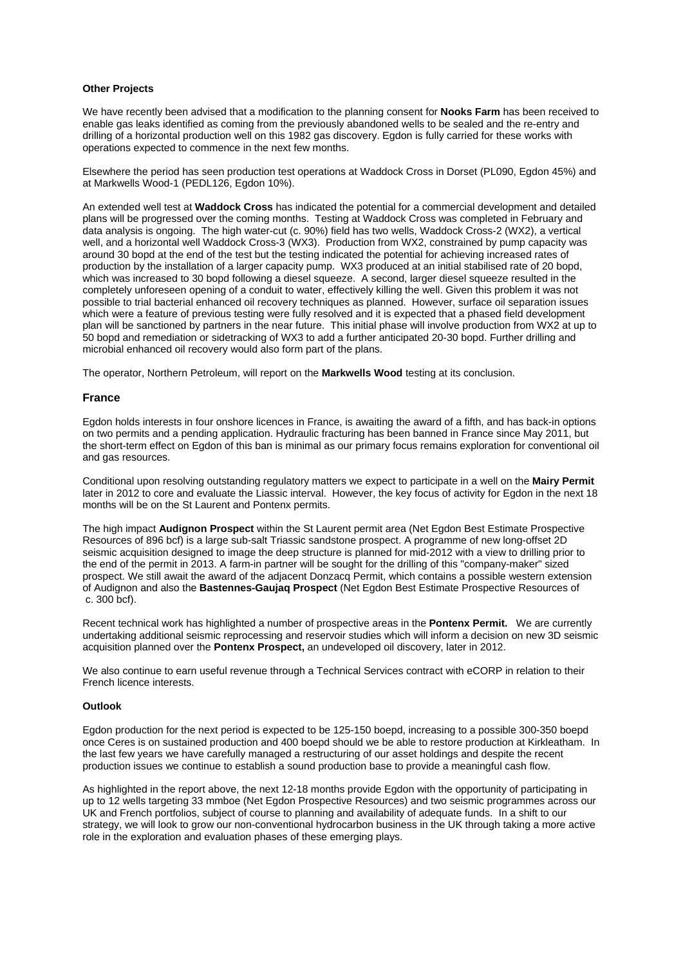#### **Other Projects**

We have recently been advised that a modification to the planning consent for **Nooks Farm** has been received to enable gas leaks identified as coming from the previously abandoned wells to be sealed and the re-entry and drilling of a horizontal production well on this 1982 gas discovery. Egdon is fully carried for these works with operations expected to commence in the next few months.

Elsewhere the period has seen production test operations at Waddock Cross in Dorset (PL090, Egdon 45%) and at Markwells Wood-1 (PEDL126, Egdon 10%).

An extended well test at **Waddock Cross** has indicated the potential for a commercial development and detailed plans will be progressed over the coming months. Testing at Waddock Cross was completed in February and data analysis is ongoing. The high water-cut (c. 90%) field has two wells, Waddock Cross-2 (WX2), a vertical well, and a horizontal well Waddock Cross-3 (WX3). Production from WX2, constrained by pump capacity was around 30 bopd at the end of the test but the testing indicated the potential for achieving increased rates of production by the installation of a larger capacity pump. WX3 produced at an initial stabilised rate of 20 bopd, which was increased to 30 bopd following a diesel squeeze. A second, larger diesel squeeze resulted in the completely unforeseen opening of a conduit to water, effectively killing the well. Given this problem it was not possible to trial bacterial enhanced oil recovery techniques as planned. However, surface oil separation issues which were a feature of previous testing were fully resolved and it is expected that a phased field development plan will be sanctioned by partners in the near future. This initial phase will involve production from WX2 at up to 50 bopd and remediation or sidetracking of WX3 to add a further anticipated 20-30 bopd. Further drilling and microbial enhanced oil recovery would also form part of the plans.

The operator, Northern Petroleum, will report on the **Markwells Wood** testing at its conclusion.

#### **France**

Egdon holds interests in four onshore licences in France, is awaiting the award of a fifth, and has back-in options on two permits and a pending application. Hydraulic fracturing has been banned in France since May 2011, but the short-term effect on Egdon of this ban is minimal as our primary focus remains exploration for conventional oil and gas resources.

Conditional upon resolving outstanding regulatory matters we expect to participate in a well on the **Mairy Permit** later in 2012 to core and evaluate the Liassic interval. However, the key focus of activity for Egdon in the next 18 months will be on the St Laurent and Pontenx permits.

The high impact **Audignon Prospect** within the St Laurent permit area (Net Egdon Best Estimate Prospective Resources of 896 bcf) is a large sub-salt Triassic sandstone prospect. A programme of new long-offset 2D seismic acquisition designed to image the deep structure is planned for mid-2012 with a view to drilling prior to the end of the permit in 2013. A farm-in partner will be sought for the drilling of this "company-maker" sized prospect. We still await the award of the adjacent Donzacq Permit, which contains a possible western extension of Audignon and also the **Bastennes-Gaujaq Prospect** (Net Egdon Best Estimate Prospective Resources of c. 300 bcf).

Recent technical work has highlighted a number of prospective areas in the **Pontenx Permit.** We are currently undertaking additional seismic reprocessing and reservoir studies which will inform a decision on new 3D seismic acquisition planned over the **Pontenx Prospect,** an undeveloped oil discovery, later in 2012.

We also continue to earn useful revenue through a Technical Services contract with eCORP in relation to their French licence interests.

#### **Outlook**

Egdon production for the next period is expected to be 125-150 boepd, increasing to a possible 300-350 boepd once Ceres is on sustained production and 400 boepd should we be able to restore production at Kirkleatham. In the last few years we have carefully managed a restructuring of our asset holdings and despite the recent production issues we continue to establish a sound production base to provide a meaningful cash flow.

As highlighted in the report above, the next 12-18 months provide Egdon with the opportunity of participating in up to 12 wells targeting 33 mmboe (Net Egdon Prospective Resources) and two seismic programmes across our UK and French portfolios, subject of course to planning and availability of adequate funds. In a shift to our strategy, we will look to grow our non-conventional hydrocarbon business in the UK through taking a more active role in the exploration and evaluation phases of these emerging plays.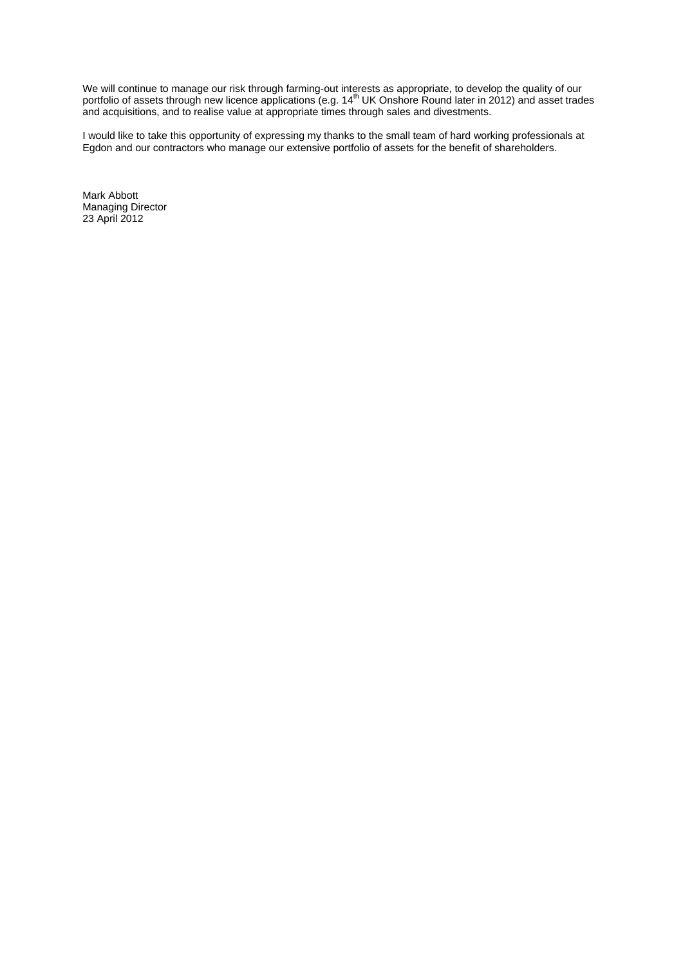We will continue to manage our risk through farming-out interests as appropriate, to develop the quality of our portfolio of assets through new licence applications (e.g. 14<sup>th</sup> UK Onshore Round later in 2012) and asset trades and acquisitions, and to realise value at appropriate times through sales and divestments.

I would like to take this opportunity of expressing my thanks to the small team of hard working professionals at Egdon and our contractors who manage our extensive portfolio of assets for the benefit of shareholders.

Mark Abbott Managing Director 23 April 2012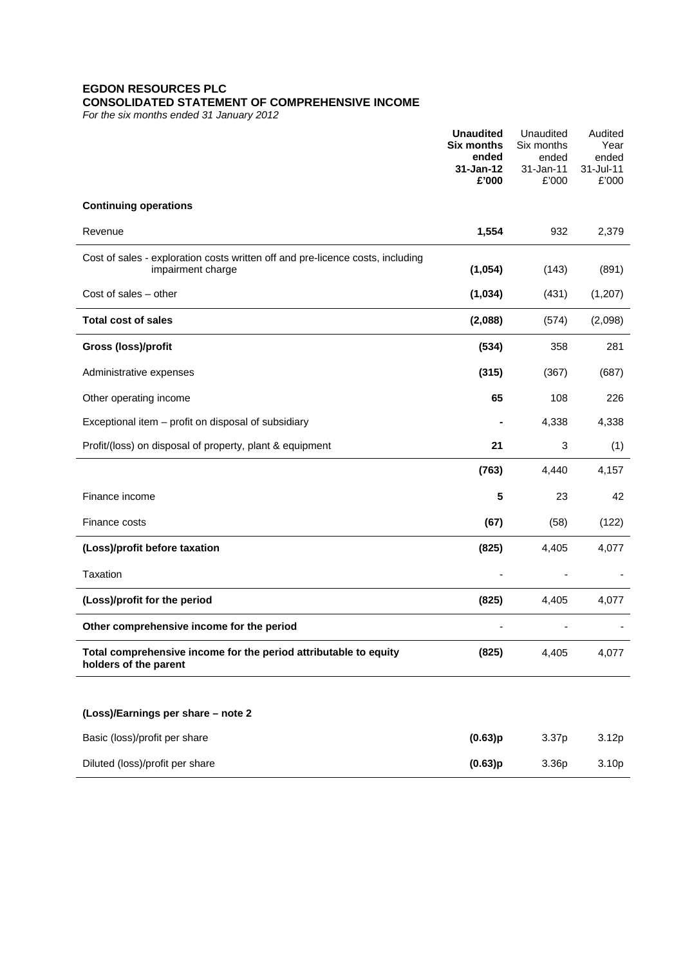## **EGDON RESOURCES PLC CONSOLIDATED STATEMENT OF COMPREHENSIVE INCOME**

*For the six months ended 31 January 2012*

|                                                                                                     | <b>Unaudited</b><br><b>Six months</b><br>ended<br>31-Jan-12<br>£'000 | Unaudited<br>Six months<br>ended<br>31-Jan-11<br>£'000 | Audited<br>Year<br>ended<br>31-Jul-11<br>£'000 |
|-----------------------------------------------------------------------------------------------------|----------------------------------------------------------------------|--------------------------------------------------------|------------------------------------------------|
| <b>Continuing operations</b>                                                                        |                                                                      |                                                        |                                                |
| Revenue                                                                                             | 1,554                                                                | 932                                                    | 2,379                                          |
| Cost of sales - exploration costs written off and pre-licence costs, including<br>impairment charge | (1,054)                                                              | (143)                                                  | (891)                                          |
| Cost of sales - other                                                                               | (1,034)                                                              | (431)                                                  | (1, 207)                                       |
| <b>Total cost of sales</b>                                                                          | (2,088)                                                              | (574)                                                  | (2,098)                                        |
| Gross (loss)/profit                                                                                 | (534)                                                                | 358                                                    | 281                                            |
| Administrative expenses                                                                             | (315)                                                                | (367)                                                  | (687)                                          |
| Other operating income                                                                              | 65                                                                   | 108                                                    | 226                                            |
| Exceptional item - profit on disposal of subsidiary                                                 |                                                                      | 4,338                                                  | 4,338                                          |
| Profit/(loss) on disposal of property, plant & equipment                                            | 21                                                                   | 3                                                      | (1)                                            |
|                                                                                                     | (763)                                                                | 4,440                                                  | 4,157                                          |
| Finance income                                                                                      | 5                                                                    | 23                                                     | 42                                             |
| Finance costs                                                                                       | (67)                                                                 | (58)                                                   | (122)                                          |
| (Loss)/profit before taxation                                                                       | (825)                                                                | 4,405                                                  | 4,077                                          |
| Taxation                                                                                            |                                                                      |                                                        |                                                |
| (Loss)/profit for the period                                                                        | (825)                                                                | 4,405                                                  | 4,077                                          |
| Other comprehensive income for the period                                                           |                                                                      |                                                        |                                                |
| Total comprehensive income for the period attributable to equity<br>holders of the parent           | (825)                                                                | 4,405                                                  | 4,077                                          |
| (Loss)/Earnings per share - note 2                                                                  |                                                                      |                                                        |                                                |
| Basic (loss)/profit per share                                                                       | (0.63)p                                                              | 3.37p                                                  | 3.12p                                          |
| Diluted (loss)/profit per share                                                                     | (0.63)p                                                              | 3.36p                                                  | 3.10p                                          |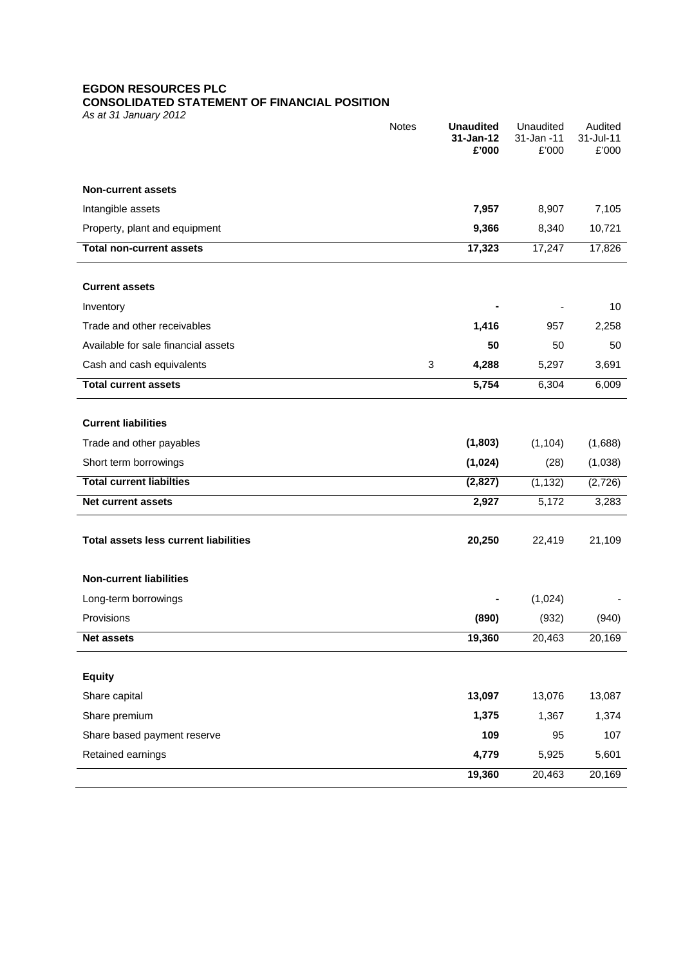# **EGDON RESOURCES PLC**

# **CONSOLIDATED STATEMENT OF FINANCIAL POSITION**

*As at 31 January 2012*

|                                              | <b>Notes</b> | <b>Unaudited</b><br>31-Jan-12 | Unaudited<br>31-Jan -11 | Audited<br>31-Jul-11 |
|----------------------------------------------|--------------|-------------------------------|-------------------------|----------------------|
|                                              |              | £'000                         | £'000                   | £'000                |
| <b>Non-current assets</b>                    |              |                               |                         |                      |
| Intangible assets                            |              | 7,957                         | 8,907                   | 7,105                |
| Property, plant and equipment                |              | 9,366                         | 8,340                   | 10,721               |
| <b>Total non-current assets</b>              |              | 17,323                        | 17,247                  | 17,826               |
|                                              |              |                               |                         |                      |
| <b>Current assets</b>                        |              |                               |                         |                      |
| Inventory                                    |              |                               |                         | 10                   |
| Trade and other receivables                  |              | 1,416                         | 957                     | 2,258                |
| Available for sale financial assets          |              | 50                            | 50                      | 50                   |
| Cash and cash equivalents                    | 3            | 4,288                         | 5,297                   | 3,691                |
| <b>Total current assets</b>                  |              | 5,754                         | 6,304                   | 6,009                |
|                                              |              |                               |                         |                      |
| <b>Current liabilities</b>                   |              |                               |                         |                      |
| Trade and other payables                     |              | (1,803)                       | (1, 104)                | (1,688)              |
| Short term borrowings                        |              | (1,024)                       | (28)                    | (1,038)              |
| <b>Total current liabilties</b>              |              | (2,827)                       | (1, 132)                | (2,726)              |
| Net current assets                           |              | 2,927                         | 5,172                   | 3,283                |
|                                              |              |                               |                         |                      |
| <b>Total assets less current liabilities</b> |              | 20,250                        | 22,419                  | 21,109               |
|                                              |              |                               |                         |                      |
| <b>Non-current liabilities</b>               |              |                               |                         |                      |
| Long-term borrowings                         |              |                               | (1,024)                 |                      |
| Provisions                                   |              | (890)                         | (932)                   | (940)                |
| <b>Net assets</b>                            |              | 19,360                        | 20,463                  | 20,169               |
| <b>Equity</b>                                |              |                               |                         |                      |
| Share capital                                |              | 13,097                        | 13,076                  | 13,087               |
| Share premium                                |              | 1,375                         | 1,367                   | 1,374                |
| Share based payment reserve                  |              | 109                           | 95                      | 107                  |
| Retained earnings                            |              | 4,779                         | 5,925                   | 5,601                |
|                                              |              | 19,360                        | 20,463                  | 20,169               |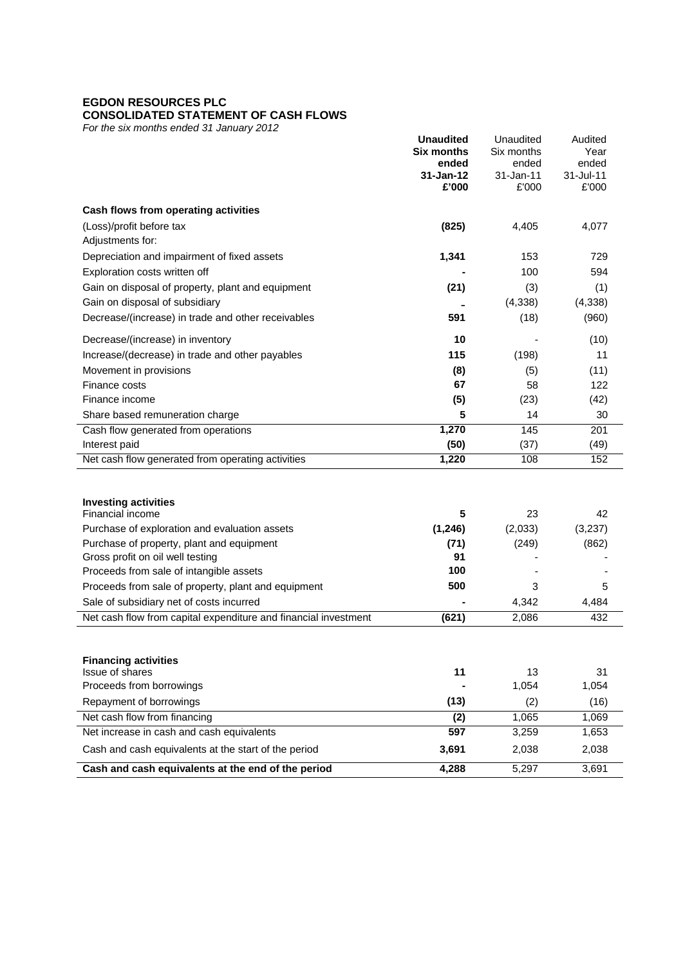# **EGDON RESOURCES PLC**

# **CONSOLIDATED STATEMENT OF CASH FLOWS**

*For the six months ended 31 January 2012*

|                                                                                                             | <b>Unaudited</b><br><b>Six months</b><br>ended | Unaudited<br>Six months<br>ended | Audited<br>Year<br>ended |  |
|-------------------------------------------------------------------------------------------------------------|------------------------------------------------|----------------------------------|--------------------------|--|
|                                                                                                             | 31-Jan-12<br>£'000                             | 31-Jan-11<br>£'000               | 31-Jul-11<br>£'000       |  |
| Cash flows from operating activities                                                                        |                                                |                                  |                          |  |
| (Loss)/profit before tax                                                                                    | (825)                                          | 4,405                            | 4,077                    |  |
| Adjustments for:                                                                                            |                                                |                                  |                          |  |
| Depreciation and impairment of fixed assets                                                                 | 1,341                                          | 153                              | 729                      |  |
| Exploration costs written off                                                                               |                                                | 100                              | 594                      |  |
| Gain on disposal of property, plant and equipment                                                           | (21)                                           | (3)                              | (1)                      |  |
| Gain on disposal of subsidiary                                                                              |                                                | (4,338)                          | (4, 338)                 |  |
| Decrease/(increase) in trade and other receivables                                                          | 591                                            | (18)                             | (960)                    |  |
| Decrease/(increase) in inventory                                                                            | 10                                             |                                  | (10)                     |  |
| Increase/(decrease) in trade and other payables                                                             | 115                                            | (198)                            | 11                       |  |
| Movement in provisions                                                                                      | (8)                                            | (5)                              | (11)                     |  |
| Finance costs                                                                                               | 67                                             | 58                               | 122                      |  |
| Finance income                                                                                              | (5)                                            | (23)                             | (42)                     |  |
| Share based remuneration charge                                                                             | 5                                              | 14                               | 30                       |  |
| Cash flow generated from operations                                                                         | 1,270                                          | 145                              | 201                      |  |
| Interest paid                                                                                               | (50)                                           | (37)                             | (49)                     |  |
| Net cash flow generated from operating activities                                                           | 1,220                                          | 108                              | 152                      |  |
|                                                                                                             |                                                |                                  |                          |  |
| <b>Investing activities</b>                                                                                 |                                                |                                  |                          |  |
| Financial income                                                                                            | 5                                              | 23                               | 42                       |  |
| Purchase of exploration and evaluation assets                                                               | (1, 246)                                       | (2,033)                          | (3,237)                  |  |
| Purchase of property, plant and equipment                                                                   | (71)                                           | (249)                            | (862)                    |  |
| Gross profit on oil well testing                                                                            | 91                                             |                                  |                          |  |
| Proceeds from sale of intangible assets                                                                     | 100                                            |                                  |                          |  |
| Proceeds from sale of property, plant and equipment                                                         | 500                                            | 3<br>4,342                       | 5                        |  |
| Sale of subsidiary net of costs incurred<br>Net cash flow from capital expenditure and financial investment | (621)                                          | 2,086                            | 4,484<br>432             |  |
|                                                                                                             |                                                |                                  |                          |  |
|                                                                                                             |                                                |                                  |                          |  |
| <b>Financing activities</b>                                                                                 |                                                |                                  |                          |  |
| Issue of shares<br>Proceeds from borrowings                                                                 | 11                                             | 13<br>1,054                      | 31                       |  |
| Repayment of borrowings                                                                                     |                                                |                                  | 1,054                    |  |
| Net cash flow from financing                                                                                | (13)                                           | (2)<br>1,065                     | (16)<br>1,069            |  |
| Net increase in cash and cash equivalents                                                                   | (2)<br>597                                     | 3,259                            | 1,653                    |  |
| Cash and cash equivalents at the start of the period                                                        | 3,691                                          | 2,038                            | 2,038                    |  |
|                                                                                                             |                                                |                                  |                          |  |
| Cash and cash equivalents at the end of the period                                                          | 4,288                                          | 5,297                            | 3,691                    |  |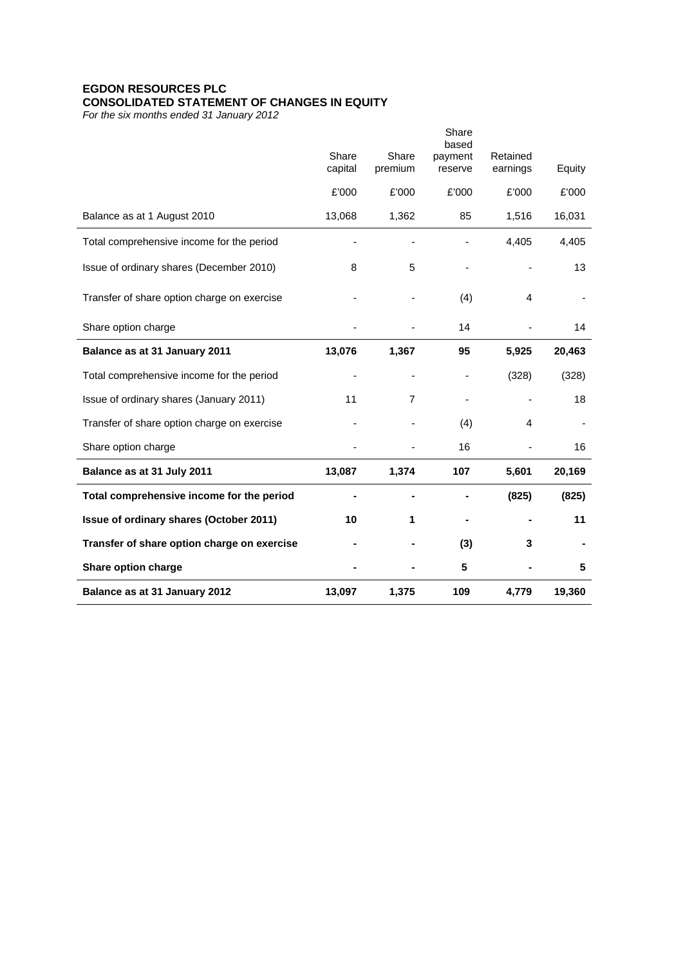## **EGDON RESOURCES PLC CONSOLIDATED STATEMENT OF CHANGES IN EQUITY**

*For the six months ended 31 January 2012*

|                                             |                  |                  | Share<br>based     |                      |        |
|---------------------------------------------|------------------|------------------|--------------------|----------------------|--------|
|                                             | Share<br>capital | Share<br>premium | payment<br>reserve | Retained<br>earnings | Equity |
|                                             | £'000            | £'000            | £'000              | £'000                | £'000  |
| Balance as at 1 August 2010                 | 13,068           | 1,362            | 85                 | 1,516                | 16,031 |
| Total comprehensive income for the period   |                  |                  |                    | 4,405                | 4,405  |
| Issue of ordinary shares (December 2010)    | 8                | 5                | $\overline{a}$     |                      | 13     |
| Transfer of share option charge on exercise |                  |                  | (4)                | 4                    |        |
| Share option charge                         |                  |                  | 14                 |                      | 14     |
| Balance as at 31 January 2011               | 13,076           | 1,367            | 95                 | 5,925                | 20,463 |
| Total comprehensive income for the period   |                  |                  |                    | (328)                | (328)  |
| Issue of ordinary shares (January 2011)     | 11               | 7                |                    |                      | 18     |
| Transfer of share option charge on exercise |                  |                  | (4)                | 4                    |        |
| Share option charge                         |                  |                  | 16                 |                      | 16     |
| Balance as at 31 July 2011                  | 13,087           | 1,374            | 107                | 5,601                | 20,169 |
| Total comprehensive income for the period   |                  |                  |                    | (825)                | (825)  |
| Issue of ordinary shares (October 2011)     | 10               | 1                |                    |                      | 11     |
| Transfer of share option charge on exercise |                  |                  | (3)                | 3                    |        |
| Share option charge                         |                  |                  | 5                  |                      | 5      |
| Balance as at 31 January 2012               | 13,097           | 1,375            | 109                | 4,779                | 19,360 |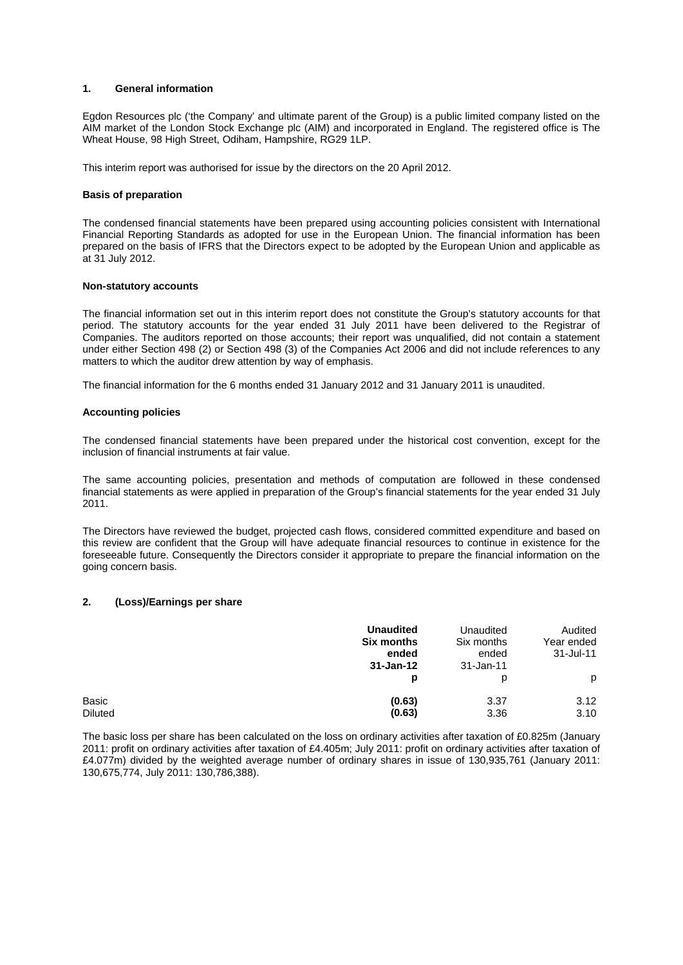#### **1. General information**

Egdon Resources plc ('the Company' and ultimate parent of the Group) is a public limited company listed on the AIM market of the London Stock Exchange plc (AIM) and incorporated in England. The registered office is The Wheat House, 98 High Street, Odiham, Hampshire, RG29 1LP.

This interim report was authorised for issue by the directors on the 20 April 2012.

#### **Basis of preparation**

The condensed financial statements have been prepared using accounting policies consistent with International Financial Reporting Standards as adopted for use in the European Union. The financial information has been prepared on the basis of IFRS that the Directors expect to be adopted by the European Union and applicable as at 31 July 2012.

#### **Non-statutory accounts**

The financial information set out in this interim report does not constitute the Group's statutory accounts for that period. The statutory accounts for the year ended 31 July 2011 have been delivered to the Registrar of Companies. The auditors reported on those accounts; their report was unqualified, did not contain a statement under either Section 498 (2) or Section 498 (3) of the Companies Act 2006 and did not include references to any matters to which the auditor drew attention by way of emphasis.

The financial information for the 6 months ended 31 January 2012 and 31 January 2011 is unaudited.

#### **Accounting policies**

The condensed financial statements have been prepared under the historical cost convention, except for the inclusion of financial instruments at fair value.

The same accounting policies, presentation and methods of computation are followed in these condensed financial statements as were applied in preparation of the Group's financial statements for the year ended 31 July 2011.

The Directors have reviewed the budget, projected cash flows, considered committed expenditure and based on this review are confident that the Group will have adequate financial resources to continue in existence for the foreseeable future. Consequently the Directors consider it appropriate to prepare the financial information on the going concern basis.

#### **2. (Loss)/Earnings per share**

|                         | <b>Unaudited</b><br><b>Six months</b><br>ended<br>31-Jan-12 | Unaudited<br>Six months<br>ended<br>31-Jan-11 | Audited<br>Year ended<br>$31 -$ Jul-11 |
|-------------------------|-------------------------------------------------------------|-----------------------------------------------|----------------------------------------|
|                         | р                                                           | D                                             | p                                      |
| Basic<br><b>Diluted</b> | (0.63)<br>(0.63)                                            | 3.37<br>3.36                                  | 3.12<br>3.10                           |

The basic loss per share has been calculated on the loss on ordinary activities after taxation of £0.825m (January 2011: profit on ordinary activities after taxation of £4.405m; July 2011: profit on ordinary activities after taxation of £4.077m) divided by the weighted average number of ordinary shares in issue of 130,935,761 (January 2011: 130,675,774, July 2011: 130,786,388).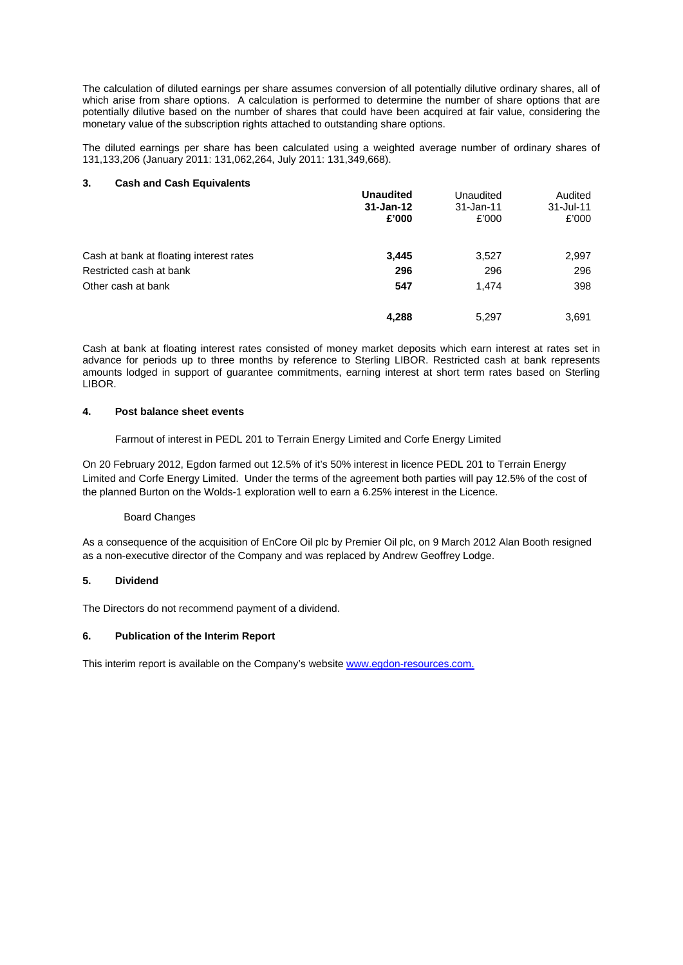The calculation of diluted earnings per share assumes conversion of all potentially dilutive ordinary shares, all of which arise from share options. A calculation is performed to determine the number of share options that are potentially dilutive based on the number of shares that could have been acquired at fair value, considering the monetary value of the subscription rights attached to outstanding share options.

The diluted earnings per share has been calculated using a weighted average number of ordinary shares of 131,133,206 (January 2011: 131,062,264, July 2011: 131,349,668).

#### **3. Cash and Cash Equivalents**

|                                         | <b>Unaudited</b><br>$31 - Jan-12$<br>£'000 | Unaudited<br>31-Jan-11<br>£'000 | Audited<br>$31 -$ Jul-11<br>£'000 |
|-----------------------------------------|--------------------------------------------|---------------------------------|-----------------------------------|
| Cash at bank at floating interest rates | 3,445                                      | 3,527                           | 2,997                             |
| Restricted cash at bank                 | 296                                        | 296                             | 296                               |
| Other cash at bank                      | 547                                        | 1.474                           | 398                               |
|                                         | 4,288                                      | 5,297                           | 3,691                             |

Cash at bank at floating interest rates consisted of money market deposits which earn interest at rates set in advance for periods up to three months by reference to Sterling LIBOR. Restricted cash at bank represents amounts lodged in support of guarantee commitments, earning interest at short term rates based on Sterling LIBOR.

#### **4. Post balance sheet events**

Farmout of interest in PEDL 201 to Terrain Energy Limited and Corfe Energy Limited

On 20 February 2012, Egdon farmed out 12.5% of it's 50% interest in licence PEDL 201 to Terrain Energy Limited and Corfe Energy Limited. Under the terms of the agreement both parties will pay 12.5% of the cost of the planned Burton on the Wolds-1 exploration well to earn a 6.25% interest in the Licence.

#### Board Changes

As a consequence of the acquisition of EnCore Oil plc by Premier Oil plc, on 9 March 2012 Alan Booth resigned as a non-executive director of the Company and was replaced by Andrew Geoffrey Lodge.

### **5. Dividend**

The Directors do not recommend payment of a dividend.

### **6. Publication of the Interim Report**

This interim report is available on the Company's website www.egdon-resources.com.